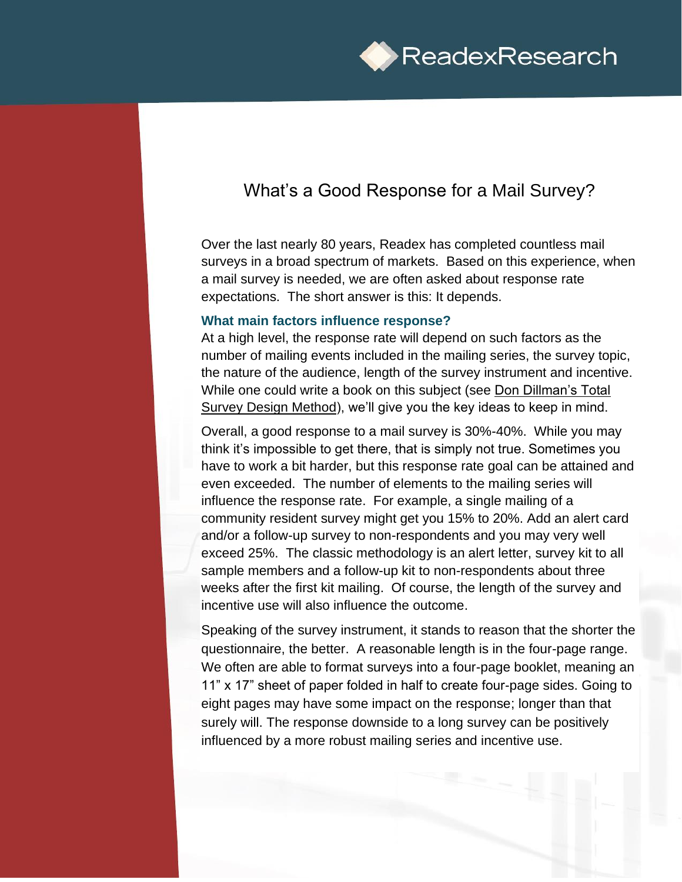

## What's a Good Response for a Mail Survey?

Over the last nearly 80 years, Readex has completed countless mail surveys in a broad spectrum of markets. Based on this experience, when a mail survey is needed, we are often asked about response rate expectations. The short answer is this: It depends.

## **What main factors influence response?**

At a high level, the response rate will depend on such factors as the number of mailing events included in the mailing series, the survey topic, the nature of the audience, length of the survey instrument and incentive. While one could write a book on this subject (see [Don Dillman's Total](https://www.ncbi.nlm.nih.gov/pmc/articles/PMC2328022/)  [Survey Design Method\)](https://www.ncbi.nlm.nih.gov/pmc/articles/PMC2328022/), we'll give you the key ideas to keep in mind.

Overall, a good response to a mail survey is 30%-40%. While you may think it's impossible to get there, that is simply not true. Sometimes you have to work a bit harder, but this response rate goal can be attained and even exceeded. The number of elements to the mailing series will influence the response rate. For example, a single mailing of a community resident survey might get you 15% to 20%. Add an alert card and/or a follow-up survey to non-respondents and you may very well exceed 25%. The classic methodology is an alert letter, survey kit to all sample members and a follow-up kit to non-respondents about three weeks after the first kit mailing. Of course, the length of the survey and incentive use will also influence the outcome.

Speaking of the survey instrument, it stands to reason that the shorter the questionnaire, the better. A reasonable length is in the four-page range. We often are able to format surveys into a four-page booklet, meaning an 11" x 17" sheet of paper folded in half to create four-page sides. Going to eight pages may have some impact on the response; longer than that surely will. The response downside to a long survey can be positively influenced by a more robust mailing series and incentive use.